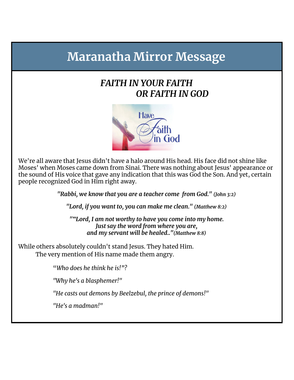# **Maranatha Mirror Message**

## *FAITH IN YOUR FAITH OR FAITH IN GOD*



We're all aware that Jesus didn't have a halo around His head. His face did not shine like Moses' when Moses came down from Sinai. There was nothing about Jesus' appearance or the sound of His voice that gave any indication that this was God the Son. And yet, certain people recognized God in Him right away.

*"Rabbi, we know that you are a teacher come from God." (John 3:2)*

*"Lord, if you want to, you can make me clean." (Matthew 8:2)*

*""Lord, I am not worthy to have you come into my home. Just say the word from where you are, and my servant will be healed.."(Matthew 8:8)*

While others absolutely couldn't stand Jesus. They hated Him. The very mention of His name made them angry.

"*Who does he think he is!"?*

*"Why he's a blasphemer!"*

*"He casts out demons by Beelzebul, the prince of demons!"*

*"He's a madman!"*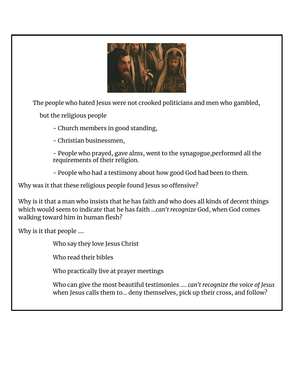

The people who hated Jesus were not crooked politicians and men who gambled,

but the religious people

- Church members in good standing,

- Christian businessmen,

- People who prayed, gave alms, went to the synagogue,performed all the requirements of their religion.

- People who had a testimony about how good God had been to them.

Why was it that these religious people found Jesus so offensive?

Why is it that a man who insists that he has faith and who does all kinds of decent things which would seem to indicate that he has faith ...*can't recognize* God, when God comes walking toward him in human flesh?

Why is it that people ….

Who say they love Jesus Christ

Who read their bibles

Who practically live at prayer meetings

Who can give the most beautiful testimonies …. *can't recognize the voice of Jesus* when Jesus calls them to… deny themselves, pick up their cross, and follow?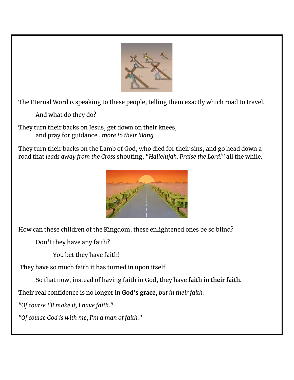

The Eternal Word *is* speaking to these people, telling them exactly which road to travel.

And what do they do?

They turn their backs on Jesus, get down on their knees, and pray for guidance…*more to their liking.*

They turn their backs on the Lamb of God, who died for their sins, and go head down a road that *leads away from the Cross* shouting, *"Hallelujah. Praise the Lord!"* all the while.



How can these children of the Kingdom, these enlightened ones be so blind?

Don't they have any faith?

You bet they have faith!

They have so much faith it has turned in upon itself.

So that now, instead of having faith in God, they have **faith in their faith.**

Their real confidence is no longer in **God's grace**, *but in their faith.*

*"Of course I'll make it, I have faith."*

*"Of course God is with me, I'm a man of faith."*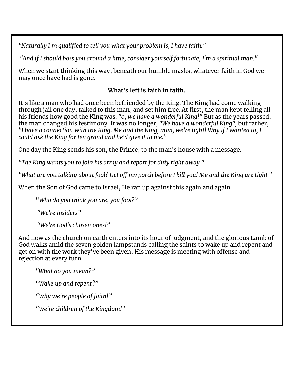*"Naturally I'm qualified to tell you what your problem is, I have faith."*

*"And if I should boss you around a little, consider yourself fortunate, I'm a spiritual man."*

When we start thinking this way, beneath our humble masks, whatever faith in God we may once have had is gone.

#### **What's left is faith in faith.**

It's like a man who had once been befriended by the King. The King had come walking through jail one day, talked to this man, and set him free. At first, the man kept telling all his friends how good the King was. *"0, we have a wonderful King!"* But as the years passed, the man changed his testimony. It was no longer, *"We have a wonderful King",* but rather, "I have a connection with the King. Me and the King, man, we're tight! Why if I wanted to, I *could ask the King for ten grand and he'd give it to me."*

One day the King sends his son, the Prince, to the man's house with a message.

*"The King wants you to join his army and report for duty right away."*

"What are you talking about fool? Get off my porch before I kill you! Me and the King are tight."

When the Son of God came to Israel, He ran up against this again and again.

"*Who do you think you are, you fool?"*

*"We're insiders"*

*"We're God's chosen ones!"*

And now as the church on earth enters into its hour of judgment, and the glorious Lamb of God walks amid the seven golden lampstands calling the saints to wake up and repent and get on with the work they've been given, His message is meeting with offense and rejection at every turn.

*"What do you mean?"*

*"Wake up and repent?"*

*"Why we're people of faith!"*

*"We're children of the Kingdom!"*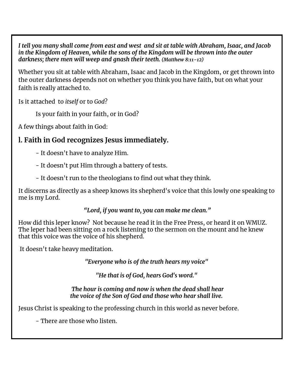I tell you many shall come from east and west and sit at table with Abraham, Isaac, and Jacob *in the Kingdom of Heaven, while the sons of the Kingdom will be thrown into the outer darkness; there men will weep and gnash their teeth. (Matthew 8:11-12)*

Whether you sit at table with Abraham, Isaac and Jacob in the Kingdom, or get thrown into the outer darkness depends not on whether you think you have faith, but on what your faith is really attached to.

Is it attached to *itself* or to *God*?

Is your faith in your faith, or in God?

A few things about faith in God:

## **l. Faith in God recognizes Jesus immediately.**

- It doesn't have to analyze Him.
- It doesn't put Him through a battery of tests.
- It doesn't run to the theologians to find out what they think.

It discerns as directly as a sheep knows its shepherd's voice that this lowly one speaking to me is my Lord.

*"Lord, if you want to, you can make me clean."*

How did this leper know? Not because he read it in the Free Press, or heard it on WMUZ. The leper had been sitting on a rock listening to the sermon on the mount and he knew that this voice was the voice of his shepherd.

It doesn't take heavy meditation.

*"Everyone who is of the truth hears my voice"*

*"He that is of God, hears God's word."*

*The hour is coming and now is when the dead shall hear the voice of the Son of God and those who hear shall live.*

Jesus Christ is speaking to the professing church in this world as never before.

- There are those who listen.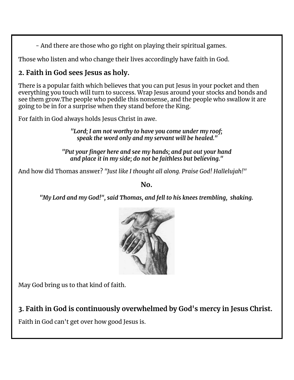- And there are those who go right on playing their spiritual games.

Those who listen and who change their lives accordingly have faith in God.

## **2. Faith in God sees Jesus as holy.**

There is a popular faith which believes that you can put Jesus in your pocket and then everything you touch will turn to success. Wrap Jesus around your stocks and bonds and see them grow.The people who peddle this nonsense, and the people who swallow it are going to be in for a surprise when they stand before the King.

For faith in God always holds Jesus Christ in awe.

*"Lord; I am not worthy to have you come under my roof; speak the word only and my servant will be healed."*

*"Put your finger here and see my hands; and put out your hand and place it in my side; do not be faithless but believing."*

And how did Thomas answer? *"Just like I thought all along. Praise God! Hallelujah!"*

**No.**

*"My Lord and my God!", said Thomas, and fell to his knees trembling, shaking.*



May God bring us to that kind of faith.

**3. Faith in God is continuously overwhelmed by God's mercy in Jesus Christ.**

Faith in God can't get over how good Jesus is.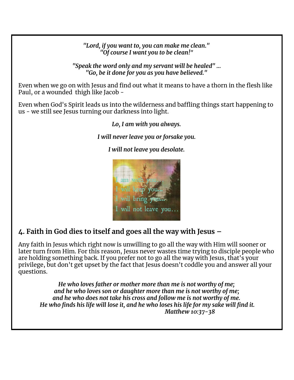*"Lord, if you want to, you can make me clean." "Of course I want you to be clean!"*

*"Speak the word only and my servant will be healed" … "Go, be it done for you as you have believed."*

Even when we go on with Jesus and find out what it means to have a thorn in the flesh like Paul, or a wounded thigh like Jacob -

Even when God's Spirit leads us into the wilderness and baffling things start happening to us - we still see Jesus turning our darkness into light.

*Lo, I am with you always.*

*I will never leave you or forsake you.*

*I will not leave you desolate.*



### **4. Faith in God dies to itself and goes all the way with Jesus –**

Any faith in Jesus which right now is unwilling to go all the way with Him will sooner or later turn from Him. For this reason, Jesus never wastes time trying to disciple people who are holding something back. If you prefer not to go all the way with Jesus, that's your privilege, but don't get upset by the fact that Jesus doesn't coddle you and answer all your questions.

*He who loves father or mother more than me is not worthy of me; and he who loves son or daughter more than me is not worthy of me; and he who does not take his cross and follow me is not worthy of me.* He who finds his life will lose it, and he who loses his life for my sake will find it. *Matthew 10:37-38*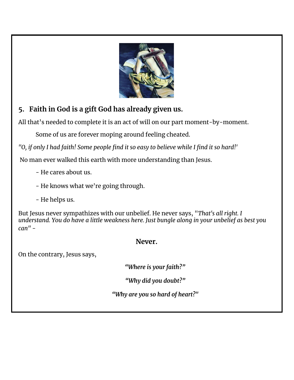

## **5. Faith in God is a gift God has already given us.**

All that's needed to complete it is an act of will on our part moment-by-moment.

Some of us are forever moping around feeling cheated.

"O, if only I had faith! Some people find it so easy to believe while I find it so hard!"

No man ever walked this earth with more understanding than Jesus.

- He cares about us.
- He knows what we're going through.
- He helps us.

But Jesus never sympathizes with our unbelief. He never says, "*That's all right. I understand. You do have a little weakness here. Just bungle along in your unbelief as best you can"* -

#### **Never.**

On the contrary, Jesus says,

*"Where is your faith?"*

*"Why did you doubt?"*

*"Why are you so hard of heart?"*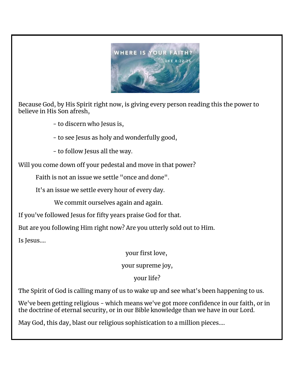

Because God, by His Spirit right now, is giving every person reading this the power to believe in His Son afresh,

- to discern who Jesus is,

- to see Jesus as holy and wonderfully good,

- to follow Jesus all the way.

Will you come down off your pedestal and move in that power?

Faith is not an issue we settle "once and done".

It's an issue we settle every hour of every day.

We commit ourselves again and again.

If you've followed Jesus for fifty years praise God for that.

But are you following Him right now? Are you utterly sold out to Him.

Is Jesus….

your first love,

your supreme joy,

your life?

The Spirit of God is calling many of us to wake up and see what's been happening to us.

We've been getting religious - which means we've got more confidence in our faith, or in the doctrine of eternal security, or in our Bible knowledge than we have in our Lord.

May God, this day, blast our religious sophistication to a million pieces….